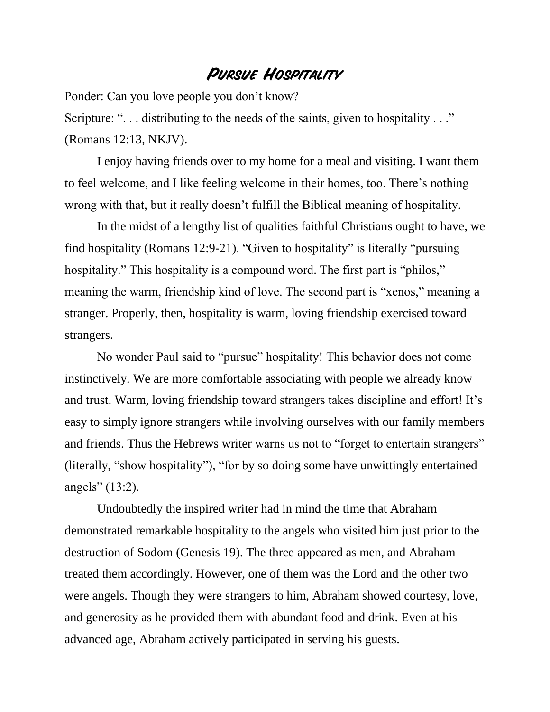## **Pursue Hospitality**

Ponder: Can you love people you don't know? Scripture: "... distributing to the needs of the saints, given to hospitality ..." (Romans 12:13, NKJV).

I enjoy having friends over to my home for a meal and visiting. I want them to feel welcome, and I like feeling welcome in their homes, too. There's nothing wrong with that, but it really doesn't fulfill the Biblical meaning of hospitality.

In the midst of a lengthy list of qualities faithful Christians ought to have, we find hospitality (Romans 12:9-21). "Given to hospitality" is literally "pursuing hospitality." This hospitality is a compound word. The first part is "philos," meaning the warm, friendship kind of love. The second part is "xenos," meaning a stranger. Properly, then, hospitality is warm, loving friendship exercised toward strangers.

No wonder Paul said to "pursue" hospitality! This behavior does not come instinctively. We are more comfortable associating with people we already know and trust. Warm, loving friendship toward strangers takes discipline and effort! It's easy to simply ignore strangers while involving ourselves with our family members and friends. Thus the Hebrews writer warns us not to "forget to entertain strangers" (literally, "show hospitality"), "for by so doing some have unwittingly entertained angels" (13:2).

Undoubtedly the inspired writer had in mind the time that Abraham demonstrated remarkable hospitality to the angels who visited him just prior to the destruction of Sodom (Genesis 19). The three appeared as men, and Abraham treated them accordingly. However, one of them was the Lord and the other two were angels. Though they were strangers to him, Abraham showed courtesy, love, and generosity as he provided them with abundant food and drink. Even at his advanced age, Abraham actively participated in serving his guests.